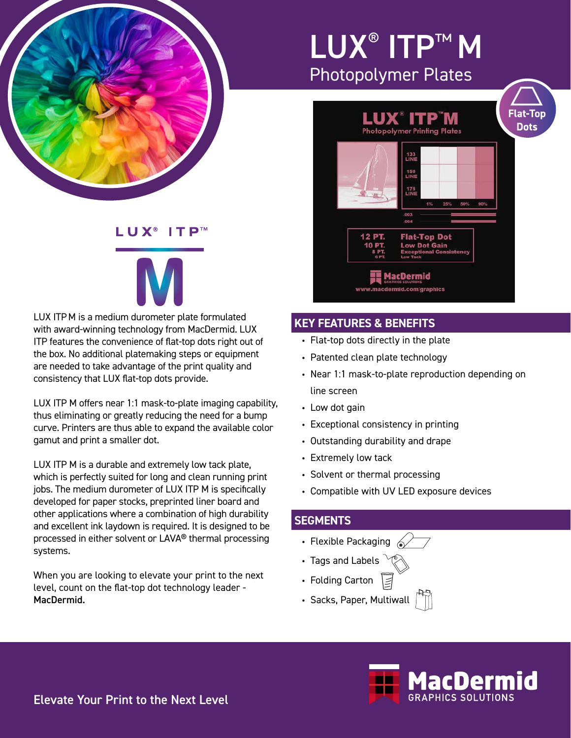

## LUX® ITP™ M Photopolymer Plates



#### **KEY FEATURES & BENEFITS**

- Flat-top dots directly in the plate
- Patented clean plate technology
- Near 1:1 mask-to-plate reproduction depending on line screen
- Low dot gain
- Exceptional consistency in printing
- Outstanding durability and drape
- Extremely low tack
- Solvent or thermal processing
- Compatible with UV LED exposure devices

#### **SEGMENTS**

- Flexible Packaging  $\ll$
- Tags and Labels
- Folding Carton
- Sacks, Paper, Multiwall



#### L U X®  $\mathsf{I}$  T  $\mathsf{P}^{\scriptscriptstyle \mathsf{TM}}$

LUX ITPM is a medium durometer plate formulated with award-winning technology from MacDermid. LUX ITP features the convenience of flat-top dots right out of the box. No additional platemaking steps or equipment are needed to take advantage of the print quality and consistency that LUX flat-top dots provide.

LUX ITP M offers near 1:1 mask-to-plate imaging capability, thus eliminating or greatly reducing the need for a bump curve. Printers are thus able to expand the available color gamut and print a smaller dot.

LUX ITP M is a durable and extremely low tack plate, which is perfectly suited for long and clean running print jobs. The medium durometer of LUX ITP M is specifically developed for paper stocks, preprinted liner board and other applications where a combination of high durability and excellent ink laydown is required. It is designed to be processed in either solvent or LAVA® thermal processing systems.

When you are looking to elevate your print to the next level, count on the flat-top dot technology leader - MacDermid.